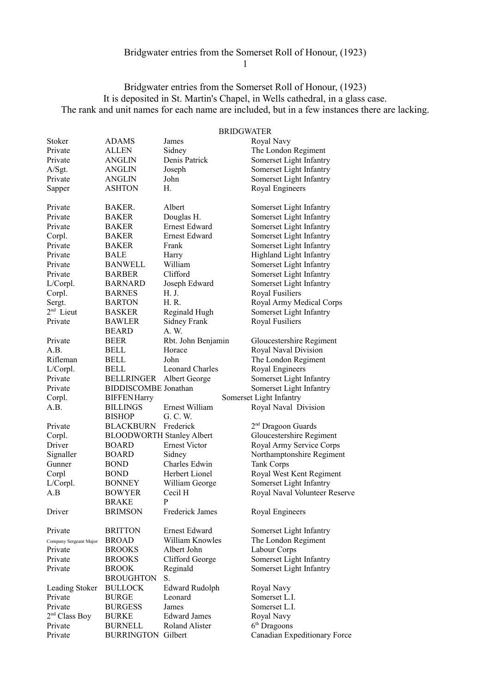1

# Bridgwater entries from the Somerset Roll of Honour, (1923) It is deposited in St. Martin's Chapel, in Wells cathedral, in a glass case. The rank and unit names for each name are included, but in a few instances there are lacking.

#### BRIDGWATER

| Stoker                    | ADAMS                               | James                     | Royal Navy                                     |
|---------------------------|-------------------------------------|---------------------------|------------------------------------------------|
| Private                   | ALLEN                               | Sidney                    | The London Regiment                            |
| Private                   | ANGLIN                              | Denis Patrick             | Somerset Light Infantry                        |
| A/Sgt.                    | ANGLIN                              | Joseph                    | Somerset Light Infantry                        |
| Private                   | <b>ANGLIN</b>                       | John                      | Somerset Light Infantry                        |
| Sapper                    | <b>ASHTON</b>                       | Н.                        | Royal Engineers                                |
| Private                   | BAKER.                              | Albert                    | Somerset Light Infantry                        |
| Private                   | <b>BAKER</b>                        | Douglas H.                | Somerset Light Infantry                        |
| Private                   | <b>BAKER</b>                        | <b>Ernest Edward</b>      | Somerset Light Infantry                        |
| Corpl.                    | <b>BAKER</b>                        | Ernest Edward             | Somerset Light Infantry                        |
| Private                   | <b>BAKER</b>                        | Frank                     | Somerset Light Infantry                        |
| Private                   | <b>BALE</b>                         | Harry                     | Highland Light Infantry                        |
| Private                   | <b>BANWELL</b>                      | William                   | Somerset Light Infantry                        |
| Private                   | <b>BARBER</b>                       | Clifford                  | Somerset Light Infantry                        |
| L/Corpl.                  | <b>BARNARD</b>                      | Joseph Edward             | Somerset Light Infantry                        |
| Corpl.                    | <b>BARNES</b>                       | H. J.                     | Royal Fusiliers                                |
| Sergt.                    | <b>BARTON</b>                       | H. R.                     | Royal Army Medical Corps                       |
| $2nd$ Lieut               | <b>BASKER</b>                       | Reginald Hugh             | Somerset Light Infantry                        |
| Private                   | <b>BAWLER</b>                       | <b>Sidney Frank</b>       | Royal Fusiliers                                |
|                           | <b>BEARD</b>                        | A. W.                     |                                                |
| Private                   | BEER                                | Rbt. John Benjamin        | Gloucestershire Regiment                       |
| A.B.                      | <b>BELL</b>                         | Horace                    | Royal Naval Division                           |
| Rifleman                  | <b>BELL</b>                         | John                      | The London Regiment                            |
| L/Corpl.                  | <b>BELL</b>                         | <b>Leonard Charles</b>    | Royal Engineers                                |
| Private                   | <b>BELLRINGER</b>                   | Albert George             |                                                |
|                           |                                     |                           | Somerset Light Infantry                        |
|                           |                                     |                           |                                                |
| Private                   | <b>BIDDISCOMBE</b> Jonathan         |                           | Somerset Light Infantry                        |
| Corpl.                    | <b>BIFFENHarry</b>                  |                           | Somerset Light Infantry                        |
| A.B.                      | <b>BILLINGS</b>                     | Ernest William            | Royal Naval Division                           |
|                           | <b>BISHOP</b>                       | G. C. W.                  |                                                |
| Private                   | <b>BLACKBURN</b>                    | Frederick                 | $2nd$ Dragoon Guards                           |
| Corpl.                    | <b>BLOODWORTH Stanley Albert</b>    |                           | Gloucestershire Regiment                       |
| Driver                    | <b>BOARD</b>                        | <b>Ernest Victor</b>      | Royal Army Service Corps                       |
| Signaller                 | <b>BOARD</b>                        | Sidney                    | Northamptonshire Regiment                      |
| Gunner                    | <b>BOND</b>                         | Charles Edwin             | <b>Tank Corps</b>                              |
| Corpl                     | <b>BOND</b>                         | Herbert Lionel            | Royal West Kent Regiment                       |
| L/Corpl.                  | <b>BONNEY</b>                       | William George            | Somerset Light Infantry                        |
| A.B                       | <b>BOWYER</b>                       | Cecil H                   | Royal Naval Volunteer Reserve                  |
|                           | <b>BRAKE</b>                        | P                         |                                                |
| Driver                    | <b>BRIMSON</b>                      | Frederick James           | Royal Engineers                                |
| Private                   | <b>BRITTON</b>                      | Ernest Edward             | Somerset Light Infantry                        |
| Company Sergeant Major    | <b>BROAD</b>                        | William Knowles           | The London Regiment                            |
| Private                   | <b>BROOKS</b>                       | Albert John               | Labour Corps                                   |
| Private                   | <b>BROOKS</b>                       | Clifford George           | Somerset Light Infantry                        |
| Private                   | <b>BROOK</b>                        | Reginald                  | Somerset Light Infantry                        |
|                           | <b>BROUGHTON</b>                    | S.                        |                                                |
| Leading Stoker            | <b>BULLOCK</b>                      | <b>Edward Rudolph</b>     | Royal Navy                                     |
| Private                   | <b>BURGE</b>                        | Leonard                   | Somerset L.I.                                  |
| Private                   | <b>BURGESS</b>                      | James                     | Somerset L.I.                                  |
| 2 <sup>nd</sup> Class Boy | BURKE                               | <b>Edward James</b>       | Royal Navy                                     |
| Private<br>Private        | <b>BURNELL</b><br><b>BURRINGTON</b> | Roland Alister<br>Gilbert | $6th$ Dragoons<br>Canadian Expeditionary Force |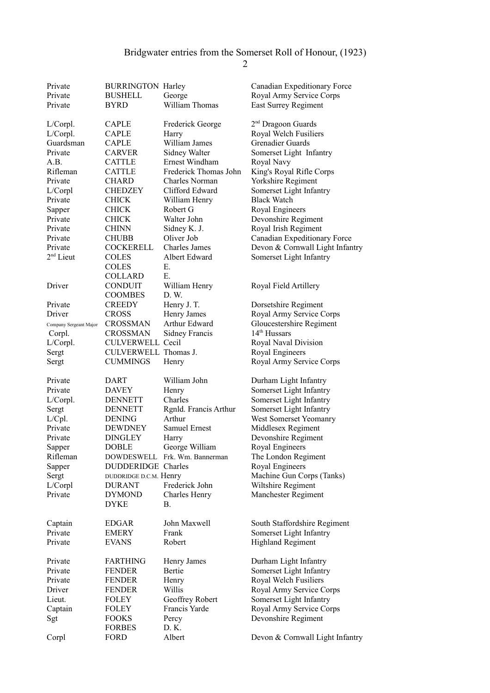| Private<br>Private<br>Private | <b>BURRINGTON Harley</b><br><b>BUSHELL</b><br><b>BYRD</b> | George<br>William Thomas      | Canadian Expeditionary Force<br>Royal Army Service Corps<br>East Surrey Regiment |
|-------------------------------|-----------------------------------------------------------|-------------------------------|----------------------------------------------------------------------------------|
| L/Corpl.                      | <b>CAPLE</b>                                              | Frederick George              | $2nd$ Dragoon Guards                                                             |
|                               |                                                           |                               | Royal Welch Fusiliers                                                            |
| L/Corpl.<br>Guardsman         | <b>CAPLE</b>                                              | Harry<br>William James        | <b>Grenadier Guards</b>                                                          |
|                               | <b>CAPLE</b>                                              |                               |                                                                                  |
| Private                       | <b>CARVER</b>                                             | Sidney Walter                 | Somerset Light Infantry                                                          |
| A.B.                          | <b>CATTLE</b>                                             | Ernest Windham                | Royal Navy                                                                       |
| Rifleman                      | <b>CATTLE</b>                                             | Frederick Thomas John         | King's Royal Rifle Corps                                                         |
| Private                       | <b>CHARD</b>                                              | Charles Norman                | Yorkshire Regiment                                                               |
| L/Corpl                       | <b>CHEDZEY</b>                                            | Clifford Edward               | Somerset Light Infantry                                                          |
| Private                       | <b>CHICK</b>                                              | William Henry                 | <b>Black Watch</b>                                                               |
| Sapper                        | <b>CHICK</b>                                              | Robert G                      | Royal Engineers                                                                  |
| Private                       | <b>CHICK</b>                                              | Walter John                   | Devonshire Regiment                                                              |
| Private                       | <b>CHINN</b>                                              | Sidney K. J.                  | Royal Irish Regiment                                                             |
| Private                       | <b>CHUBB</b>                                              | Oliver Job                    | Canadian Expeditionary Force                                                     |
| Private                       | COCKERELL                                                 | Charles James                 | Devon & Cornwall Light Infantry                                                  |
| $2nd$ Lieut                   | <b>COLES</b>                                              | Albert Edward                 | Somerset Light Infantry                                                          |
|                               | <b>COLES</b>                                              | Е.                            |                                                                                  |
|                               | <b>COLLARD</b>                                            | Е.                            |                                                                                  |
| Driver                        | <b>CONDUIT</b>                                            | William Henry                 | Royal Field Artillery                                                            |
|                               | <b>COOMBES</b>                                            | D. W.                         |                                                                                  |
| Private                       | <b>CREEDY</b>                                             | Henry J. T.                   | Dorsetshire Regiment                                                             |
|                               |                                                           |                               | Royal Army Service Corps                                                         |
| Driver                        | <b>CROSS</b>                                              | Henry James                   |                                                                                  |
| Company Sergeant Major        | <b>CROSSMAN</b>                                           | Arthur Edward                 | Gloucestershire Regiment                                                         |
| Corpl.                        | <b>CROSSMAN</b>                                           | Sidney Francis                | $14th$ Hussars                                                                   |
| L/Corpl.                      | <b>CULVERWELL Cecil</b>                                   |                               | Royal Naval Division                                                             |
| Sergt                         | CULVERWELL Thomas J.                                      |                               | Royal Engineers                                                                  |
| Sergt                         | <b>CUMMINGS</b>                                           | Henry                         | Royal Army Service Corps                                                         |
| Private                       | DART                                                      | William John                  |                                                                                  |
|                               |                                                           |                               | Durham Light Infantry                                                            |
| Private                       | <b>DAVEY</b>                                              | Henry                         | Somerset Light Infantry                                                          |
| L/Corpl.                      | <b>DENNETT</b>                                            | Charles                       | Somerset Light Infantry                                                          |
| Sergt                         | <b>DENNETT</b>                                            | Rgnld. Francis Arthur         | Somerset Light Infantry                                                          |
| L/Cpl.                        | <b>DENING</b>                                             | Arthur                        | West Somerset Yeomanry                                                           |
| Private                       | <b>DEWDNEY</b>                                            | Samuel Ernest                 | Middlesex Regiment                                                               |
| Private                       | <b>DINGLEY</b>                                            | Harry                         | Devonshire Regiment                                                              |
| Sapper                        | DOBLE                                                     | George William                | Royal Engineers                                                                  |
| Rifleman                      |                                                           | DOWDESWELL Frk. Wm. Bannerman | The London Regiment                                                              |
| Sapper                        | DUDDERIDGE Charles                                        |                               | Royal Engineers                                                                  |
| Sergt                         | DUDDRIDGE D.C.M. Henry                                    |                               | Machine Gun Corps (Tanks)                                                        |
| L/Corpl                       | <b>DURANT</b>                                             | Frederick John                | Wiltshire Regiment                                                               |
| Private                       | <b>DYMOND</b>                                             | Charles Henry                 | Manchester Regiment                                                              |
|                               | <b>DYKE</b>                                               | В.                            |                                                                                  |
|                               |                                                           |                               |                                                                                  |
| Captain                       | <b>EDGAR</b>                                              | John Maxwell                  | South Staffordshire Regiment                                                     |
| Private                       | <b>EMERY</b>                                              | Frank                         | Somerset Light Infantry                                                          |
| Private                       | <b>EVANS</b>                                              | Robert                        | <b>Highland Regiment</b>                                                         |
|                               |                                                           |                               |                                                                                  |
| Private                       | <b>FARTHING</b>                                           | Henry James                   | Durham Light Infantry                                                            |
| Private                       | <b>FENDER</b>                                             | Bertie                        | Somerset Light Infantry                                                          |
| Private                       | <b>FENDER</b>                                             | Henry                         | Royal Welch Fusiliers                                                            |
| Driver                        | <b>FENDER</b>                                             | Willis                        | Royal Army Service Corps                                                         |
| Lieut.                        | FOLEY                                                     | Geoffrey Robert               | Somerset Light Infantry                                                          |
| Captain                       | FOLEY                                                     | Francis Yarde                 | Royal Army Service Corps                                                         |
| Sgt                           | <b>FOOKS</b>                                              | Percy                         | Devonshire Regiment                                                              |
|                               | <b>FORBES</b>                                             | D. K.                         |                                                                                  |
| Corpl                         | FORD                                                      | Albert                        | Devon & Cornwall Light Infantry                                                  |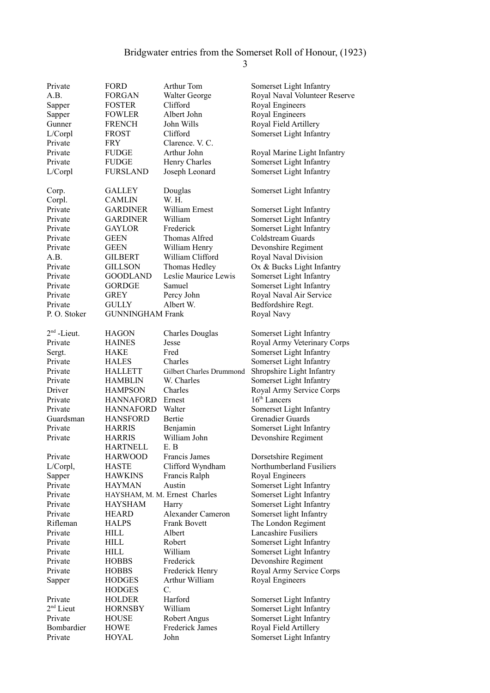| Private       | FORD                    | Arthur Tom                      | Somerset Light Infantry       |
|---------------|-------------------------|---------------------------------|-------------------------------|
| A.B.          | <b>FORGAN</b>           | Walter George                   | Royal Naval Volunteer Reserve |
| Sapper        | <b>FOSTER</b>           | Clifford                        | Royal Engineers               |
| Sapper        | <b>FOWLER</b>           | Albert John                     | Royal Engineers               |
| Gunner        | <b>FRENCH</b>           | John Wills                      | Royal Field Artillery         |
| L/Corpl       | <b>FROST</b>            | Clifford                        | Somerset Light Infantry       |
| Private       | FRY                     | Clarence, V. C.                 |                               |
| Private       | <b>FUDGE</b>            | Arthur John                     | Royal Marine Light Infantry   |
| Private       | <b>FUDGE</b>            | Henry Charles                   | Somerset Light Infantry       |
| L/Corpl       | <b>FURSLAND</b>         | Joseph Leonard                  | Somerset Light Infantry       |
|               |                         |                                 |                               |
| Corp.         | <b>GALLEY</b>           | Douglas                         | Somerset Light Infantry       |
| Corpl.        | <b>CAMLIN</b>           | W. H.                           |                               |
| Private       | <b>GARDINER</b>         | William Ernest                  | Somerset Light Infantry       |
| Private       | <b>GARDINER</b>         | William                         | Somerset Light Infantry       |
| Private       | <b>GAYLOR</b>           | Frederick                       | Somerset Light Infantry       |
| Private       | <b>GEEN</b>             | <b>Thomas Alfred</b>            | Coldstream Guards             |
| Private       | <b>GEEN</b>             | William Henry                   | Devonshire Regiment           |
| A.B.          | <b>GILBERT</b>          | William Clifford                | Royal Naval Division          |
| Private       | <b>GILLSON</b>          | Thomas Hedley                   | Ox & Bucks Light Infantry     |
| Private       | <b>GOODLAND</b>         | Leslie Maurice Lewis            | Somerset Light Infantry       |
| Private       | <b>GORDGE</b>           | Samuel                          | Somerset Light Infantry       |
| Private       | <b>GREY</b>             | Percy John                      | Royal Naval Air Service       |
| Private       | <b>GULLY</b>            | Albert W.                       | Bedfordshire Regt.            |
| P.O. Stoker   | <b>GUNNINGHAM Frank</b> |                                 | Royal Navy                    |
|               |                         |                                 |                               |
| $2nd$ -Lieut. | <b>HAGON</b>            | <b>Charles Douglas</b>          | Somerset Light Infantry       |
| Private       | <b>HAINES</b>           | Jesse                           | Royal Army Veterinary Corps   |
| Sergt.        | <b>HAKE</b>             | Fred                            | Somerset Light Infantry       |
| Private       | <b>HALES</b>            | Charles                         | Somerset Light Infantry       |
| Private       | <b>HALLETT</b>          | <b>Gilbert Charles Drummond</b> | Shropshire Light Infantry     |
| Private       | <b>HAMBLIN</b>          | W. Charles                      | Somerset Light Infantry       |
| Driver        | <b>HAMPSON</b>          | Charles                         | Royal Army Service Corps      |
| Private       | <b>HANNAFORD</b>        | Ernest                          | $16th$ Lancers                |
| Private       | <b>HANNAFORD</b>        | Walter                          | Somerset Light Infantry       |
| Guardsman     | <b>HANSFORD</b>         | Bertie                          | <b>Grenadier Guards</b>       |
| Private       | <b>HARRIS</b>           | Benjamin                        | Somerset Light Infantry       |
| Private       | <b>HARRIS</b>           | William John                    | Devonshire Regiment           |
|               | <b>HARTNELL</b>         | E.B                             |                               |
| Private       | <b>HARWOOD</b>          | Francis James                   | Dorsetshire Regiment          |
| $L/Corpl$ ,   | <b>HASTE</b>            | Clifford Wyndham                | Northumberland Fusiliers      |
| Sapper        | <b>HAWKINS</b>          | Francis Ralph                   | Royal Engineers               |
| Private       | <b>HAYMAN</b>           | Austin                          | Somerset Light Infantry       |
| Private       |                         | HAYSHAM, M. M. Ernest Charles   | Somerset Light Infantry       |
| Private       | <b>HAYSHAM</b>          | Harry                           | Somerset Light Infantry       |
| Private       | <b>HEARD</b>            | Alexander Cameron               | Somerset light Infantry       |
| Rifleman      | <b>HALPS</b>            | <b>Frank Bovett</b>             | The London Regiment           |
| Private       | <b>HILL</b>             | Albert                          | Lancashire Fusiliers          |
| Private       | <b>HILL</b>             | Robert                          | Somerset Light Infantry       |
| Private       | HILL                    | William                         | Somerset Light Infantry       |
| Private       | <b>HOBBS</b>            | Frederick                       | Devonshire Regiment           |
| Private       | <b>HOBBS</b>            | Frederick Henry                 | Royal Army Service Corps      |
| Sapper        | <b>HODGES</b>           | Arthur William                  | Royal Engineers               |
|               | <b>HODGES</b>           | $C$ .                           |                               |
| Private       | <b>HOLDER</b>           | Harford                         | Somerset Light Infantry       |
| $2nd$ Lieut   | <b>HORNSBY</b>          | William                         | Somerset Light Infantry       |
| Private       | <b>HOUSE</b>            | Robert Angus                    | Somerset Light Infantry       |
| Bombardier    | <b>HOWE</b>             | Frederick James                 | Royal Field Artillery         |
| Private       | <b>HOYAL</b>            | John                            | Somerset Light Infantry       |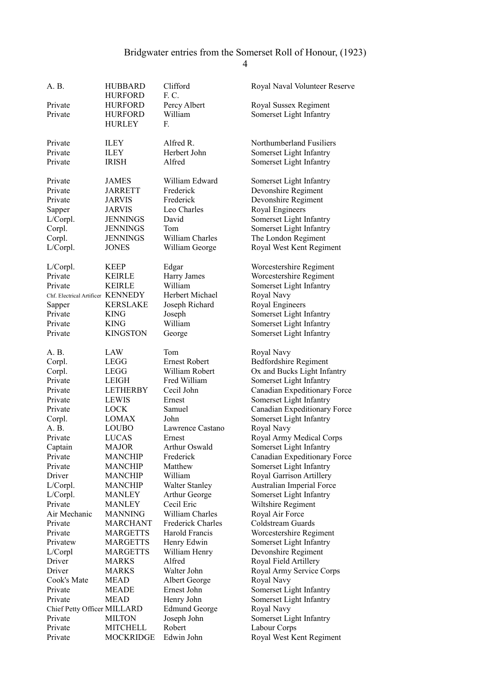| A. B.                             | HUBBARD                      | Clifford                | Royal Naval Volunteer Reserve |
|-----------------------------------|------------------------------|-------------------------|-------------------------------|
|                                   | HURFORD                      | F.C.                    |                               |
| Private                           | <b>HURFORD</b>               | Percy Albert            | Royal Sussex Regiment         |
| Private                           | <b>HURFORD</b>               | William                 | Somerset Light Infantry       |
|                                   | <b>HURLEY</b>                | F.                      |                               |
|                                   |                              |                         |                               |
| Private                           | <b>ILEY</b>                  | Alfred R.               | Northumberland Fusiliers      |
| Private                           | ILEY                         | Herbert John            | Somerset Light Infantry       |
| Private                           | <b>IRISH</b>                 | Alfred                  | Somerset Light Infantry       |
|                                   |                              |                         |                               |
| Private                           | <b>JAMES</b>                 | William Edward          |                               |
| Private                           |                              |                         | Somerset Light Infantry       |
| Private                           | <b>JARRETT</b>               | Frederick<br>Frederick  | Devonshire Regiment           |
|                                   | <b>JARVIS</b>                |                         | Devonshire Regiment           |
| Sapper                            | <b>JARVIS</b>                | Leo Charles             | Royal Engineers               |
| L/Corpl.                          | <b>JENNINGS</b>              | David                   | Somerset Light Infantry       |
| Corpl.                            | <b>JENNINGS</b>              | Tom                     | Somerset Light Infantry       |
| Corpl.                            | <b>JENNINGS</b>              | William Charles         | The London Regiment           |
| L/Corpl.                          | <b>JONES</b>                 | William George          | Royal West Kent Regiment      |
|                                   |                              |                         |                               |
| L/Corpl.                          | KEEP                         | Edgar                   | Worcestershire Regiment       |
| Private                           | <b>KEIRLE</b>                | Harry James             | Worcestershire Regiment       |
| Private                           | <b>KEIRLE</b>                | William                 | Somerset Light Infantry       |
| Chf. Electrical Artificer KENNEDY |                              | Herbert Michael         | Royal Navy                    |
| Sapper                            | <b>KERSLAKE</b>              | Joseph Richard          | Royal Engineers               |
| Private                           | <b>KING</b>                  | Joseph                  | Somerset Light Infantry       |
| Private                           | <b>KING</b>                  | William                 | Somerset Light Infantry       |
| Private                           | <b>KINGSTON</b>              | George                  | Somerset Light Infantry       |
|                                   |                              |                         |                               |
| A. B.                             | LAW                          | Tom                     | Royal Navy                    |
| Corpl.                            | LEGG                         | <b>Ernest Robert</b>    | Bedfordshire Regiment         |
| Corpl.                            | LEGG                         | William Robert          | Ox and Bucks Light Infantry   |
| Private                           | LEIGH                        | Fred William            | Somerset Light Infantry       |
| Private                           | <b>LETHERBY</b>              | Cecil John              | Canadian Expeditionary Force  |
| Private                           | <b>LEWIS</b>                 | Ernest                  | Somerset Light Infantry       |
| Private                           | <b>LOCK</b>                  | Samuel                  | Canadian Expeditionary Force  |
| Corpl.                            | <b>LOMAX</b>                 | John                    | Somerset Light Infantry       |
| A. B.                             | <b>LOUBO</b>                 | Lawrence Castano        | Royal Navy                    |
| Private                           |                              |                         |                               |
|                                   | <b>LUCAS</b><br><b>MAJOR</b> | Ernest<br>Arthur Oswald | Royal Army Medical Corps      |
| Captain                           |                              |                         | Somerset Light Infantry       |
| Private                           | <b>MANCHIP</b>               | Frederick               | Canadian Expeditionary Force  |
| Private                           | <b>MANCHIP</b>               | Matthew                 | Somerset Light Infantry       |
| Driver                            | <b>MANCHIP</b>               | William                 | Royal Garrison Artillery      |
| L/Corpl.                          | <b>MANCHIP</b>               | <b>Walter Stanley</b>   | Australian Imperial Force     |
| L/Corpl.                          | <b>MANLEY</b>                | Arthur George           | Somerset Light Infantry       |
| Private                           | MANLEY                       | Cecil Eric              | Wiltshire Regiment            |
| Air Mechanic                      | <b>MANNING</b>               | William Charles         | Royal Air Force               |
| Private                           | <b>MARCHANT</b>              | Frederick Charles       | Coldstream Guards             |
| Private                           | <b>MARGETTS</b>              | Harold Francis          | Worcestershire Regiment       |
| Privatew                          | MARGETTS                     | Henry Edwin             | Somerset Light Infantry       |
| L/Corpl                           | <b>MARGETTS</b>              | William Henry           | Devonshire Regiment           |
| Driver                            | MARKS                        | Alfred                  | Royal Field Artillery         |
| Driver                            | MARKS                        | Walter John             | Royal Army Service Corps      |
| Cook's Mate                       | MEAD                         | Albert George           | Royal Navy                    |
| Private                           | MEADE                        | Ernest John             | Somerset Light Infantry       |
| Private                           | MEAD                         | Henry John              | Somerset Light Infantry       |
| Chief Petty Officer MILLARD       |                              | <b>Edmund George</b>    | Royal Navy                    |
| Private                           | <b>MILTON</b>                | Joseph John             | Somerset Light Infantry       |
| Private                           | <b>MITCHELL</b>              | Robert                  | Labour Corps                  |
| Private                           | <b>MOCKRIDGE</b>             | Edwin John              | Royal West Kent Regiment      |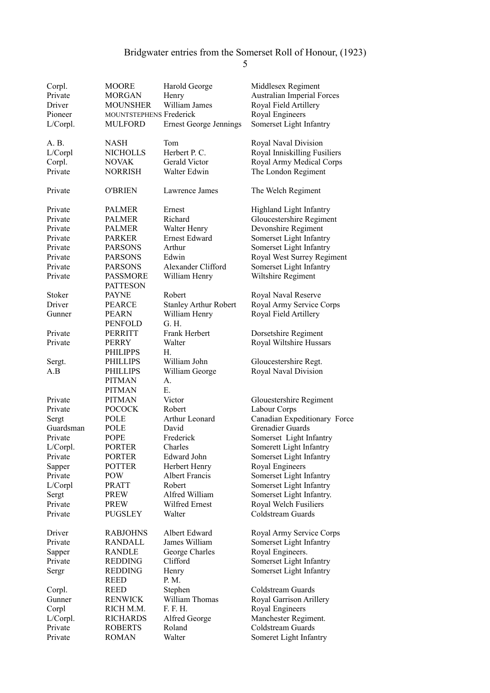| A. B.<br>NASH<br>Tom<br>Royal Naval Division<br>Herbert P. C.<br>Royal Inniskilling Fusiliers<br>L/Corpl<br><b>NICHOLLS</b><br>Corpl.<br>Gerald Victor<br>Royal Army Medical Corps<br><b>NOVAK</b><br>Private<br>The London Regiment<br>NORRISH<br>Walter Edwin<br>Private<br>O'BRIEN<br>Lawrence James<br>The Welch Regiment<br>Private<br><b>PALMER</b><br>Ernest<br>Highland Light Infantry<br>Private<br>Richard<br>Gloucestershire Regiment<br><b>PALMER</b><br>Devonshire Regiment<br>Private<br><b>PALMER</b><br>Walter Henry<br><b>Ernest Edward</b><br>Private<br><b>PARKER</b><br>Somerset Light Infantry<br>Somerset Light Infantry<br>Private<br><b>PARSONS</b><br>Arthur<br>Royal West Surrey Regiment<br>Private<br><b>PARSONS</b><br>Edwin<br>Private<br>Alexander Clifford<br>Somerset Light Infantry<br><b>PARSONS</b><br>Wiltshire Regiment<br>Private<br><b>PASSMORE</b><br>William Henry<br><b>PATTESON</b><br>Stoker<br><b>PAYNE</b><br>Robert<br>Royal Naval Reserve<br>Royal Army Service Corps<br>Driver<br><b>Stanley Arthur Robert</b><br><b>PEARCE</b><br>William Henry<br>Royal Field Artillery<br>Gunner<br><b>PEARN</b><br>G. H.<br>PENFOLD<br>Private<br>Frank Herbert<br>Dorsetshire Regiment<br>PERRITT<br>Private<br>Royal Wiltshire Hussars<br>Walter<br><b>PERRY</b><br>Н.<br>PHILIPPS<br><b>PHILLIPS</b><br>William John<br>Gloucestershire Regt.<br>Sergt.<br>Royal Naval Division<br>A.B<br><b>PHILLIPS</b><br>William George<br><b>PITMAN</b><br>А.<br>Е.<br><b>PITMAN</b><br>Private<br><b>PITMAN</b><br>Victor<br>Glouestershire Regiment<br>Private<br><b>POCOCK</b><br>Robert<br>Labour Corps<br>Canadian Expeditionary Force<br>POLE<br>Arthur Leonard<br>Sergt<br><b>Grenadier Guards</b><br>Guardsman<br>POLE<br>David<br>Private<br><b>POPE</b><br>Frederick<br>Somerset Light Infantry<br>L/Corpl.<br>Somerett Light Infantry<br>Charles<br>PORTER<br>Private<br><b>PORTER</b><br>Edward John<br>Somerset Light Infantry<br><b>POTTER</b><br>Herbert Henry<br>Royal Engineers<br>Sapper<br>Private<br>POW<br>Albert Francis<br>Somerset Light Infantry<br>L/Corpl<br><b>PRATT</b><br>Robert<br>Somerset Light Infantry<br>Alfred William<br>Somerset Light Infantry.<br>Sergt<br>PREW<br>Private<br>Wilfred Ernest<br>Royal Welch Fusiliers<br>PREW<br>Coldstream Guards<br>Private<br><b>PUGSLEY</b><br>Walter<br><b>RABJOHNS</b><br>Albert Edward<br>Royal Army Service Corps<br>Driver<br>RANDALL<br>James William<br>Somerset Light Infantry<br>Private<br><b>RANDLE</b><br>George Charles<br>Royal Engineers.<br>Sapper<br>Private<br><b>REDDING</b><br>Clifford<br>Somerset Light Infantry<br><b>REDDING</b><br>Somerset Light Infantry<br>Sergr<br>Henry<br>P. M.<br>REED<br>Stephen<br>Coldstream Guards<br>Corpl.<br>REED<br>William Thomas<br>Royal Garrison Arillery<br>Gunner<br>RENWICK<br>F. F. H.<br>RICH M.M.<br>Royal Engineers<br>Corpl<br>L/Corpl.<br><b>RICHARDS</b><br>Alfred George<br>Manchester Regiment.<br>Private<br>Coldstream Guards<br><b>ROBERTS</b><br>Roland<br>Private<br><b>ROMAN</b><br>Walter<br>Someret Light Infantry | Corpl.<br>Private<br>Driver<br>Pioneer<br>L/Corpl. | MOORE<br><b>MORGAN</b><br><b>MOUNSHER</b><br>MOUNTSTEPHENS Frederick<br>MULFORD | Harold George<br>Henry<br>William James<br><b>Ernest George Jennings</b> | Middlesex Regiment<br>Australian Imperial Forces<br>Royal Field Artillery<br>Royal Engineers<br>Somerset Light Infantry |
|---------------------------------------------------------------------------------------------------------------------------------------------------------------------------------------------------------------------------------------------------------------------------------------------------------------------------------------------------------------------------------------------------------------------------------------------------------------------------------------------------------------------------------------------------------------------------------------------------------------------------------------------------------------------------------------------------------------------------------------------------------------------------------------------------------------------------------------------------------------------------------------------------------------------------------------------------------------------------------------------------------------------------------------------------------------------------------------------------------------------------------------------------------------------------------------------------------------------------------------------------------------------------------------------------------------------------------------------------------------------------------------------------------------------------------------------------------------------------------------------------------------------------------------------------------------------------------------------------------------------------------------------------------------------------------------------------------------------------------------------------------------------------------------------------------------------------------------------------------------------------------------------------------------------------------------------------------------------------------------------------------------------------------------------------------------------------------------------------------------------------------------------------------------------------------------------------------------------------------------------------------------------------------------------------------------------------------------------------------------------------------------------------------------------------------------------------------------------------------------------------------------------------------------------------------------------------------------------------------------------------------------------------------------------------------------------------------------------------------------------------------------------------------------------------------------------------------------------------------------------------------------------------------------------------------------------------------------------------------------------------------------------------------------------------------------------------------------------------------------|----------------------------------------------------|---------------------------------------------------------------------------------|--------------------------------------------------------------------------|-------------------------------------------------------------------------------------------------------------------------|
|                                                                                                                                                                                                                                                                                                                                                                                                                                                                                                                                                                                                                                                                                                                                                                                                                                                                                                                                                                                                                                                                                                                                                                                                                                                                                                                                                                                                                                                                                                                                                                                                                                                                                                                                                                                                                                                                                                                                                                                                                                                                                                                                                                                                                                                                                                                                                                                                                                                                                                                                                                                                                                                                                                                                                                                                                                                                                                                                                                                                                                                                                                               |                                                    |                                                                                 |                                                                          |                                                                                                                         |
|                                                                                                                                                                                                                                                                                                                                                                                                                                                                                                                                                                                                                                                                                                                                                                                                                                                                                                                                                                                                                                                                                                                                                                                                                                                                                                                                                                                                                                                                                                                                                                                                                                                                                                                                                                                                                                                                                                                                                                                                                                                                                                                                                                                                                                                                                                                                                                                                                                                                                                                                                                                                                                                                                                                                                                                                                                                                                                                                                                                                                                                                                                               |                                                    |                                                                                 |                                                                          |                                                                                                                         |
|                                                                                                                                                                                                                                                                                                                                                                                                                                                                                                                                                                                                                                                                                                                                                                                                                                                                                                                                                                                                                                                                                                                                                                                                                                                                                                                                                                                                                                                                                                                                                                                                                                                                                                                                                                                                                                                                                                                                                                                                                                                                                                                                                                                                                                                                                                                                                                                                                                                                                                                                                                                                                                                                                                                                                                                                                                                                                                                                                                                                                                                                                                               |                                                    |                                                                                 |                                                                          |                                                                                                                         |
|                                                                                                                                                                                                                                                                                                                                                                                                                                                                                                                                                                                                                                                                                                                                                                                                                                                                                                                                                                                                                                                                                                                                                                                                                                                                                                                                                                                                                                                                                                                                                                                                                                                                                                                                                                                                                                                                                                                                                                                                                                                                                                                                                                                                                                                                                                                                                                                                                                                                                                                                                                                                                                                                                                                                                                                                                                                                                                                                                                                                                                                                                                               |                                                    |                                                                                 |                                                                          |                                                                                                                         |
|                                                                                                                                                                                                                                                                                                                                                                                                                                                                                                                                                                                                                                                                                                                                                                                                                                                                                                                                                                                                                                                                                                                                                                                                                                                                                                                                                                                                                                                                                                                                                                                                                                                                                                                                                                                                                                                                                                                                                                                                                                                                                                                                                                                                                                                                                                                                                                                                                                                                                                                                                                                                                                                                                                                                                                                                                                                                                                                                                                                                                                                                                                               |                                                    |                                                                                 |                                                                          |                                                                                                                         |
|                                                                                                                                                                                                                                                                                                                                                                                                                                                                                                                                                                                                                                                                                                                                                                                                                                                                                                                                                                                                                                                                                                                                                                                                                                                                                                                                                                                                                                                                                                                                                                                                                                                                                                                                                                                                                                                                                                                                                                                                                                                                                                                                                                                                                                                                                                                                                                                                                                                                                                                                                                                                                                                                                                                                                                                                                                                                                                                                                                                                                                                                                                               |                                                    |                                                                                 |                                                                          |                                                                                                                         |
|                                                                                                                                                                                                                                                                                                                                                                                                                                                                                                                                                                                                                                                                                                                                                                                                                                                                                                                                                                                                                                                                                                                                                                                                                                                                                                                                                                                                                                                                                                                                                                                                                                                                                                                                                                                                                                                                                                                                                                                                                                                                                                                                                                                                                                                                                                                                                                                                                                                                                                                                                                                                                                                                                                                                                                                                                                                                                                                                                                                                                                                                                                               |                                                    |                                                                                 |                                                                          |                                                                                                                         |
|                                                                                                                                                                                                                                                                                                                                                                                                                                                                                                                                                                                                                                                                                                                                                                                                                                                                                                                                                                                                                                                                                                                                                                                                                                                                                                                                                                                                                                                                                                                                                                                                                                                                                                                                                                                                                                                                                                                                                                                                                                                                                                                                                                                                                                                                                                                                                                                                                                                                                                                                                                                                                                                                                                                                                                                                                                                                                                                                                                                                                                                                                                               |                                                    |                                                                                 |                                                                          |                                                                                                                         |
|                                                                                                                                                                                                                                                                                                                                                                                                                                                                                                                                                                                                                                                                                                                                                                                                                                                                                                                                                                                                                                                                                                                                                                                                                                                                                                                                                                                                                                                                                                                                                                                                                                                                                                                                                                                                                                                                                                                                                                                                                                                                                                                                                                                                                                                                                                                                                                                                                                                                                                                                                                                                                                                                                                                                                                                                                                                                                                                                                                                                                                                                                                               |                                                    |                                                                                 |                                                                          |                                                                                                                         |
|                                                                                                                                                                                                                                                                                                                                                                                                                                                                                                                                                                                                                                                                                                                                                                                                                                                                                                                                                                                                                                                                                                                                                                                                                                                                                                                                                                                                                                                                                                                                                                                                                                                                                                                                                                                                                                                                                                                                                                                                                                                                                                                                                                                                                                                                                                                                                                                                                                                                                                                                                                                                                                                                                                                                                                                                                                                                                                                                                                                                                                                                                                               |                                                    |                                                                                 |                                                                          |                                                                                                                         |
|                                                                                                                                                                                                                                                                                                                                                                                                                                                                                                                                                                                                                                                                                                                                                                                                                                                                                                                                                                                                                                                                                                                                                                                                                                                                                                                                                                                                                                                                                                                                                                                                                                                                                                                                                                                                                                                                                                                                                                                                                                                                                                                                                                                                                                                                                                                                                                                                                                                                                                                                                                                                                                                                                                                                                                                                                                                                                                                                                                                                                                                                                                               |                                                    |                                                                                 |                                                                          |                                                                                                                         |
|                                                                                                                                                                                                                                                                                                                                                                                                                                                                                                                                                                                                                                                                                                                                                                                                                                                                                                                                                                                                                                                                                                                                                                                                                                                                                                                                                                                                                                                                                                                                                                                                                                                                                                                                                                                                                                                                                                                                                                                                                                                                                                                                                                                                                                                                                                                                                                                                                                                                                                                                                                                                                                                                                                                                                                                                                                                                                                                                                                                                                                                                                                               |                                                    |                                                                                 |                                                                          |                                                                                                                         |
|                                                                                                                                                                                                                                                                                                                                                                                                                                                                                                                                                                                                                                                                                                                                                                                                                                                                                                                                                                                                                                                                                                                                                                                                                                                                                                                                                                                                                                                                                                                                                                                                                                                                                                                                                                                                                                                                                                                                                                                                                                                                                                                                                                                                                                                                                                                                                                                                                                                                                                                                                                                                                                                                                                                                                                                                                                                                                                                                                                                                                                                                                                               |                                                    |                                                                                 |                                                                          |                                                                                                                         |
|                                                                                                                                                                                                                                                                                                                                                                                                                                                                                                                                                                                                                                                                                                                                                                                                                                                                                                                                                                                                                                                                                                                                                                                                                                                                                                                                                                                                                                                                                                                                                                                                                                                                                                                                                                                                                                                                                                                                                                                                                                                                                                                                                                                                                                                                                                                                                                                                                                                                                                                                                                                                                                                                                                                                                                                                                                                                                                                                                                                                                                                                                                               |                                                    |                                                                                 |                                                                          |                                                                                                                         |
|                                                                                                                                                                                                                                                                                                                                                                                                                                                                                                                                                                                                                                                                                                                                                                                                                                                                                                                                                                                                                                                                                                                                                                                                                                                                                                                                                                                                                                                                                                                                                                                                                                                                                                                                                                                                                                                                                                                                                                                                                                                                                                                                                                                                                                                                                                                                                                                                                                                                                                                                                                                                                                                                                                                                                                                                                                                                                                                                                                                                                                                                                                               |                                                    |                                                                                 |                                                                          |                                                                                                                         |
|                                                                                                                                                                                                                                                                                                                                                                                                                                                                                                                                                                                                                                                                                                                                                                                                                                                                                                                                                                                                                                                                                                                                                                                                                                                                                                                                                                                                                                                                                                                                                                                                                                                                                                                                                                                                                                                                                                                                                                                                                                                                                                                                                                                                                                                                                                                                                                                                                                                                                                                                                                                                                                                                                                                                                                                                                                                                                                                                                                                                                                                                                                               |                                                    |                                                                                 |                                                                          |                                                                                                                         |
|                                                                                                                                                                                                                                                                                                                                                                                                                                                                                                                                                                                                                                                                                                                                                                                                                                                                                                                                                                                                                                                                                                                                                                                                                                                                                                                                                                                                                                                                                                                                                                                                                                                                                                                                                                                                                                                                                                                                                                                                                                                                                                                                                                                                                                                                                                                                                                                                                                                                                                                                                                                                                                                                                                                                                                                                                                                                                                                                                                                                                                                                                                               |                                                    |                                                                                 |                                                                          |                                                                                                                         |
|                                                                                                                                                                                                                                                                                                                                                                                                                                                                                                                                                                                                                                                                                                                                                                                                                                                                                                                                                                                                                                                                                                                                                                                                                                                                                                                                                                                                                                                                                                                                                                                                                                                                                                                                                                                                                                                                                                                                                                                                                                                                                                                                                                                                                                                                                                                                                                                                                                                                                                                                                                                                                                                                                                                                                                                                                                                                                                                                                                                                                                                                                                               |                                                    |                                                                                 |                                                                          |                                                                                                                         |
|                                                                                                                                                                                                                                                                                                                                                                                                                                                                                                                                                                                                                                                                                                                                                                                                                                                                                                                                                                                                                                                                                                                                                                                                                                                                                                                                                                                                                                                                                                                                                                                                                                                                                                                                                                                                                                                                                                                                                                                                                                                                                                                                                                                                                                                                                                                                                                                                                                                                                                                                                                                                                                                                                                                                                                                                                                                                                                                                                                                                                                                                                                               |                                                    |                                                                                 |                                                                          |                                                                                                                         |
|                                                                                                                                                                                                                                                                                                                                                                                                                                                                                                                                                                                                                                                                                                                                                                                                                                                                                                                                                                                                                                                                                                                                                                                                                                                                                                                                                                                                                                                                                                                                                                                                                                                                                                                                                                                                                                                                                                                                                                                                                                                                                                                                                                                                                                                                                                                                                                                                                                                                                                                                                                                                                                                                                                                                                                                                                                                                                                                                                                                                                                                                                                               |                                                    |                                                                                 |                                                                          |                                                                                                                         |
|                                                                                                                                                                                                                                                                                                                                                                                                                                                                                                                                                                                                                                                                                                                                                                                                                                                                                                                                                                                                                                                                                                                                                                                                                                                                                                                                                                                                                                                                                                                                                                                                                                                                                                                                                                                                                                                                                                                                                                                                                                                                                                                                                                                                                                                                                                                                                                                                                                                                                                                                                                                                                                                                                                                                                                                                                                                                                                                                                                                                                                                                                                               |                                                    |                                                                                 |                                                                          |                                                                                                                         |
|                                                                                                                                                                                                                                                                                                                                                                                                                                                                                                                                                                                                                                                                                                                                                                                                                                                                                                                                                                                                                                                                                                                                                                                                                                                                                                                                                                                                                                                                                                                                                                                                                                                                                                                                                                                                                                                                                                                                                                                                                                                                                                                                                                                                                                                                                                                                                                                                                                                                                                                                                                                                                                                                                                                                                                                                                                                                                                                                                                                                                                                                                                               |                                                    |                                                                                 |                                                                          |                                                                                                                         |
|                                                                                                                                                                                                                                                                                                                                                                                                                                                                                                                                                                                                                                                                                                                                                                                                                                                                                                                                                                                                                                                                                                                                                                                                                                                                                                                                                                                                                                                                                                                                                                                                                                                                                                                                                                                                                                                                                                                                                                                                                                                                                                                                                                                                                                                                                                                                                                                                                                                                                                                                                                                                                                                                                                                                                                                                                                                                                                                                                                                                                                                                                                               |                                                    |                                                                                 |                                                                          |                                                                                                                         |
|                                                                                                                                                                                                                                                                                                                                                                                                                                                                                                                                                                                                                                                                                                                                                                                                                                                                                                                                                                                                                                                                                                                                                                                                                                                                                                                                                                                                                                                                                                                                                                                                                                                                                                                                                                                                                                                                                                                                                                                                                                                                                                                                                                                                                                                                                                                                                                                                                                                                                                                                                                                                                                                                                                                                                                                                                                                                                                                                                                                                                                                                                                               |                                                    |                                                                                 |                                                                          |                                                                                                                         |
|                                                                                                                                                                                                                                                                                                                                                                                                                                                                                                                                                                                                                                                                                                                                                                                                                                                                                                                                                                                                                                                                                                                                                                                                                                                                                                                                                                                                                                                                                                                                                                                                                                                                                                                                                                                                                                                                                                                                                                                                                                                                                                                                                                                                                                                                                                                                                                                                                                                                                                                                                                                                                                                                                                                                                                                                                                                                                                                                                                                                                                                                                                               |                                                    |                                                                                 |                                                                          |                                                                                                                         |
|                                                                                                                                                                                                                                                                                                                                                                                                                                                                                                                                                                                                                                                                                                                                                                                                                                                                                                                                                                                                                                                                                                                                                                                                                                                                                                                                                                                                                                                                                                                                                                                                                                                                                                                                                                                                                                                                                                                                                                                                                                                                                                                                                                                                                                                                                                                                                                                                                                                                                                                                                                                                                                                                                                                                                                                                                                                                                                                                                                                                                                                                                                               |                                                    |                                                                                 |                                                                          |                                                                                                                         |
|                                                                                                                                                                                                                                                                                                                                                                                                                                                                                                                                                                                                                                                                                                                                                                                                                                                                                                                                                                                                                                                                                                                                                                                                                                                                                                                                                                                                                                                                                                                                                                                                                                                                                                                                                                                                                                                                                                                                                                                                                                                                                                                                                                                                                                                                                                                                                                                                                                                                                                                                                                                                                                                                                                                                                                                                                                                                                                                                                                                                                                                                                                               |                                                    |                                                                                 |                                                                          |                                                                                                                         |
|                                                                                                                                                                                                                                                                                                                                                                                                                                                                                                                                                                                                                                                                                                                                                                                                                                                                                                                                                                                                                                                                                                                                                                                                                                                                                                                                                                                                                                                                                                                                                                                                                                                                                                                                                                                                                                                                                                                                                                                                                                                                                                                                                                                                                                                                                                                                                                                                                                                                                                                                                                                                                                                                                                                                                                                                                                                                                                                                                                                                                                                                                                               |                                                    |                                                                                 |                                                                          |                                                                                                                         |
|                                                                                                                                                                                                                                                                                                                                                                                                                                                                                                                                                                                                                                                                                                                                                                                                                                                                                                                                                                                                                                                                                                                                                                                                                                                                                                                                                                                                                                                                                                                                                                                                                                                                                                                                                                                                                                                                                                                                                                                                                                                                                                                                                                                                                                                                                                                                                                                                                                                                                                                                                                                                                                                                                                                                                                                                                                                                                                                                                                                                                                                                                                               |                                                    |                                                                                 |                                                                          |                                                                                                                         |
|                                                                                                                                                                                                                                                                                                                                                                                                                                                                                                                                                                                                                                                                                                                                                                                                                                                                                                                                                                                                                                                                                                                                                                                                                                                                                                                                                                                                                                                                                                                                                                                                                                                                                                                                                                                                                                                                                                                                                                                                                                                                                                                                                                                                                                                                                                                                                                                                                                                                                                                                                                                                                                                                                                                                                                                                                                                                                                                                                                                                                                                                                                               |                                                    |                                                                                 |                                                                          |                                                                                                                         |
|                                                                                                                                                                                                                                                                                                                                                                                                                                                                                                                                                                                                                                                                                                                                                                                                                                                                                                                                                                                                                                                                                                                                                                                                                                                                                                                                                                                                                                                                                                                                                                                                                                                                                                                                                                                                                                                                                                                                                                                                                                                                                                                                                                                                                                                                                                                                                                                                                                                                                                                                                                                                                                                                                                                                                                                                                                                                                                                                                                                                                                                                                                               |                                                    |                                                                                 |                                                                          |                                                                                                                         |
|                                                                                                                                                                                                                                                                                                                                                                                                                                                                                                                                                                                                                                                                                                                                                                                                                                                                                                                                                                                                                                                                                                                                                                                                                                                                                                                                                                                                                                                                                                                                                                                                                                                                                                                                                                                                                                                                                                                                                                                                                                                                                                                                                                                                                                                                                                                                                                                                                                                                                                                                                                                                                                                                                                                                                                                                                                                                                                                                                                                                                                                                                                               |                                                    |                                                                                 |                                                                          |                                                                                                                         |
|                                                                                                                                                                                                                                                                                                                                                                                                                                                                                                                                                                                                                                                                                                                                                                                                                                                                                                                                                                                                                                                                                                                                                                                                                                                                                                                                                                                                                                                                                                                                                                                                                                                                                                                                                                                                                                                                                                                                                                                                                                                                                                                                                                                                                                                                                                                                                                                                                                                                                                                                                                                                                                                                                                                                                                                                                                                                                                                                                                                                                                                                                                               |                                                    |                                                                                 |                                                                          |                                                                                                                         |
|                                                                                                                                                                                                                                                                                                                                                                                                                                                                                                                                                                                                                                                                                                                                                                                                                                                                                                                                                                                                                                                                                                                                                                                                                                                                                                                                                                                                                                                                                                                                                                                                                                                                                                                                                                                                                                                                                                                                                                                                                                                                                                                                                                                                                                                                                                                                                                                                                                                                                                                                                                                                                                                                                                                                                                                                                                                                                                                                                                                                                                                                                                               |                                                    |                                                                                 |                                                                          |                                                                                                                         |
|                                                                                                                                                                                                                                                                                                                                                                                                                                                                                                                                                                                                                                                                                                                                                                                                                                                                                                                                                                                                                                                                                                                                                                                                                                                                                                                                                                                                                                                                                                                                                                                                                                                                                                                                                                                                                                                                                                                                                                                                                                                                                                                                                                                                                                                                                                                                                                                                                                                                                                                                                                                                                                                                                                                                                                                                                                                                                                                                                                                                                                                                                                               |                                                    |                                                                                 |                                                                          |                                                                                                                         |
|                                                                                                                                                                                                                                                                                                                                                                                                                                                                                                                                                                                                                                                                                                                                                                                                                                                                                                                                                                                                                                                                                                                                                                                                                                                                                                                                                                                                                                                                                                                                                                                                                                                                                                                                                                                                                                                                                                                                                                                                                                                                                                                                                                                                                                                                                                                                                                                                                                                                                                                                                                                                                                                                                                                                                                                                                                                                                                                                                                                                                                                                                                               |                                                    |                                                                                 |                                                                          |                                                                                                                         |
|                                                                                                                                                                                                                                                                                                                                                                                                                                                                                                                                                                                                                                                                                                                                                                                                                                                                                                                                                                                                                                                                                                                                                                                                                                                                                                                                                                                                                                                                                                                                                                                                                                                                                                                                                                                                                                                                                                                                                                                                                                                                                                                                                                                                                                                                                                                                                                                                                                                                                                                                                                                                                                                                                                                                                                                                                                                                                                                                                                                                                                                                                                               |                                                    |                                                                                 |                                                                          |                                                                                                                         |
|                                                                                                                                                                                                                                                                                                                                                                                                                                                                                                                                                                                                                                                                                                                                                                                                                                                                                                                                                                                                                                                                                                                                                                                                                                                                                                                                                                                                                                                                                                                                                                                                                                                                                                                                                                                                                                                                                                                                                                                                                                                                                                                                                                                                                                                                                                                                                                                                                                                                                                                                                                                                                                                                                                                                                                                                                                                                                                                                                                                                                                                                                                               |                                                    |                                                                                 |                                                                          |                                                                                                                         |
|                                                                                                                                                                                                                                                                                                                                                                                                                                                                                                                                                                                                                                                                                                                                                                                                                                                                                                                                                                                                                                                                                                                                                                                                                                                                                                                                                                                                                                                                                                                                                                                                                                                                                                                                                                                                                                                                                                                                                                                                                                                                                                                                                                                                                                                                                                                                                                                                                                                                                                                                                                                                                                                                                                                                                                                                                                                                                                                                                                                                                                                                                                               |                                                    |                                                                                 |                                                                          |                                                                                                                         |
|                                                                                                                                                                                                                                                                                                                                                                                                                                                                                                                                                                                                                                                                                                                                                                                                                                                                                                                                                                                                                                                                                                                                                                                                                                                                                                                                                                                                                                                                                                                                                                                                                                                                                                                                                                                                                                                                                                                                                                                                                                                                                                                                                                                                                                                                                                                                                                                                                                                                                                                                                                                                                                                                                                                                                                                                                                                                                                                                                                                                                                                                                                               |                                                    |                                                                                 |                                                                          |                                                                                                                         |
|                                                                                                                                                                                                                                                                                                                                                                                                                                                                                                                                                                                                                                                                                                                                                                                                                                                                                                                                                                                                                                                                                                                                                                                                                                                                                                                                                                                                                                                                                                                                                                                                                                                                                                                                                                                                                                                                                                                                                                                                                                                                                                                                                                                                                                                                                                                                                                                                                                                                                                                                                                                                                                                                                                                                                                                                                                                                                                                                                                                                                                                                                                               |                                                    |                                                                                 |                                                                          |                                                                                                                         |
|                                                                                                                                                                                                                                                                                                                                                                                                                                                                                                                                                                                                                                                                                                                                                                                                                                                                                                                                                                                                                                                                                                                                                                                                                                                                                                                                                                                                                                                                                                                                                                                                                                                                                                                                                                                                                                                                                                                                                                                                                                                                                                                                                                                                                                                                                                                                                                                                                                                                                                                                                                                                                                                                                                                                                                                                                                                                                                                                                                                                                                                                                                               |                                                    |                                                                                 |                                                                          |                                                                                                                         |
|                                                                                                                                                                                                                                                                                                                                                                                                                                                                                                                                                                                                                                                                                                                                                                                                                                                                                                                                                                                                                                                                                                                                                                                                                                                                                                                                                                                                                                                                                                                                                                                                                                                                                                                                                                                                                                                                                                                                                                                                                                                                                                                                                                                                                                                                                                                                                                                                                                                                                                                                                                                                                                                                                                                                                                                                                                                                                                                                                                                                                                                                                                               |                                                    |                                                                                 |                                                                          |                                                                                                                         |
|                                                                                                                                                                                                                                                                                                                                                                                                                                                                                                                                                                                                                                                                                                                                                                                                                                                                                                                                                                                                                                                                                                                                                                                                                                                                                                                                                                                                                                                                                                                                                                                                                                                                                                                                                                                                                                                                                                                                                                                                                                                                                                                                                                                                                                                                                                                                                                                                                                                                                                                                                                                                                                                                                                                                                                                                                                                                                                                                                                                                                                                                                                               |                                                    |                                                                                 |                                                                          |                                                                                                                         |
|                                                                                                                                                                                                                                                                                                                                                                                                                                                                                                                                                                                                                                                                                                                                                                                                                                                                                                                                                                                                                                                                                                                                                                                                                                                                                                                                                                                                                                                                                                                                                                                                                                                                                                                                                                                                                                                                                                                                                                                                                                                                                                                                                                                                                                                                                                                                                                                                                                                                                                                                                                                                                                                                                                                                                                                                                                                                                                                                                                                                                                                                                                               |                                                    |                                                                                 |                                                                          |                                                                                                                         |
|                                                                                                                                                                                                                                                                                                                                                                                                                                                                                                                                                                                                                                                                                                                                                                                                                                                                                                                                                                                                                                                                                                                                                                                                                                                                                                                                                                                                                                                                                                                                                                                                                                                                                                                                                                                                                                                                                                                                                                                                                                                                                                                                                                                                                                                                                                                                                                                                                                                                                                                                                                                                                                                                                                                                                                                                                                                                                                                                                                                                                                                                                                               |                                                    |                                                                                 |                                                                          |                                                                                                                         |
|                                                                                                                                                                                                                                                                                                                                                                                                                                                                                                                                                                                                                                                                                                                                                                                                                                                                                                                                                                                                                                                                                                                                                                                                                                                                                                                                                                                                                                                                                                                                                                                                                                                                                                                                                                                                                                                                                                                                                                                                                                                                                                                                                                                                                                                                                                                                                                                                                                                                                                                                                                                                                                                                                                                                                                                                                                                                                                                                                                                                                                                                                                               |                                                    |                                                                                 |                                                                          |                                                                                                                         |
|                                                                                                                                                                                                                                                                                                                                                                                                                                                                                                                                                                                                                                                                                                                                                                                                                                                                                                                                                                                                                                                                                                                                                                                                                                                                                                                                                                                                                                                                                                                                                                                                                                                                                                                                                                                                                                                                                                                                                                                                                                                                                                                                                                                                                                                                                                                                                                                                                                                                                                                                                                                                                                                                                                                                                                                                                                                                                                                                                                                                                                                                                                               |                                                    |                                                                                 |                                                                          |                                                                                                                         |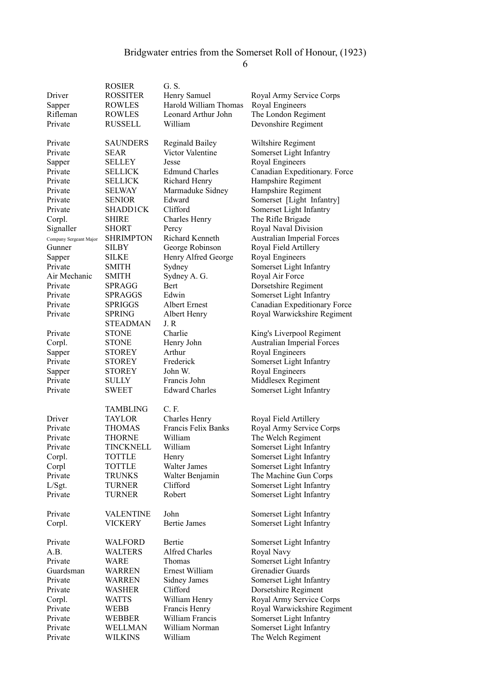|                        | <b>ROSIER</b>                   | G. S.                       |                                            |
|------------------------|---------------------------------|-----------------------------|--------------------------------------------|
| Driver                 | <b>ROSSITER</b>                 | Henry Samuel                | Royal Army Service Corps                   |
| Sapper                 | ROWLES                          | Harold William Thomas       | Royal Engineers                            |
| Rifleman               | <b>ROWLES</b>                   | Leonard Arthur John         | The London Regiment                        |
| Private                | <b>RUSSELL</b>                  | William                     | Devonshire Regiment                        |
|                        |                                 |                             |                                            |
| Private                | <b>SAUNDERS</b>                 | <b>Reginald Bailey</b>      | Wiltshire Regiment                         |
| Private                | SEAR                            | Victor Valentine            | Somerset Light Infantry                    |
| Sapper                 | SELLEY                          | Jesse                       | Royal Engineers                            |
| Private                | <b>SELLICK</b>                  | <b>Edmund Charles</b>       | Canadian Expeditionary. Force              |
| Private                | <b>SELLICK</b>                  | Richard Henry               | Hampshire Regiment                         |
| Private                | SELWAY                          | Marmaduke Sidney            | Hampshire Regiment                         |
| Private                | <b>SENIOR</b>                   | Edward                      | Somerset [Light Infantry]                  |
| Private                | <b>SHADD1CK</b>                 | Clifford                    | Somerset Light Infantry                    |
| Corpl.                 | <b>SHIRE</b>                    | Charles Henry               | The Rifle Brigade                          |
| Signaller              | <b>SHORT</b>                    | Percy                       | Royal Naval Division                       |
| Company Sergeant Major | <b>SHRIMPTON</b>                | Richard Kenneth             | <b>Australian Imperial Forces</b>          |
| Gunner                 | SILBY                           | George Robinson             | Royal Field Artillery                      |
| Sapper                 | SILKE                           | Henry Alfred George         | Royal Engineers                            |
| Private                | <b>SMITH</b>                    | Sydney                      | Somerset Light Infantry                    |
| Air Mechanic           | SMITH                           | Sydney A. G.<br><b>Bert</b> | Royal Air Force                            |
| Private                | SPRAGG                          | Edwin                       | Dorsetshire Regiment                       |
| Private<br>Private     | <b>SPRAGGS</b>                  |                             | Somerset Light Infantry                    |
|                        | <b>SPRIGGS</b><br><b>SPRING</b> | Albert Ernest               | Canadian Expeditionary Force               |
| Private                |                                 | Albert Henry<br>J.R         | Royal Warwickshire Regiment                |
|                        | <b>STEADMAN</b>                 | Charlie                     |                                            |
| Private                | <b>STONE</b>                    |                             | King's Liverpool Regiment                  |
| Corpl.                 | <b>STONE</b>                    | Henry John<br>Arthur        | <b>Australian Imperial Forces</b>          |
| Sapper<br>Private      | <b>STOREY</b>                   |                             | Royal Engineers                            |
|                        | <b>STOREY</b>                   | Frederick<br>John W.        | Somerset Light Infantry<br>Royal Engineers |
| Sapper<br>Private      | <b>STOREY</b><br><b>SULLY</b>   | Francis John                | Middlesex Regiment                         |
| Private                | SWEET                           | <b>Edward Charles</b>       | Somerset Light Infantry                    |
|                        |                                 |                             |                                            |
|                        | <b>TAMBLING</b>                 | C. F.                       |                                            |
| Driver                 | <b>TAYLOR</b>                   | Charles Henry               | Royal Field Artillery                      |
| Private                | <b>THOMAS</b>                   | Francis Felix Banks         | Royal Army Service Corps                   |
| Private                | <b>THORNE</b>                   | William                     | The Welch Regiment                         |
| Private                | TINCKNELL                       | William                     | Somerset Light Infantry                    |
| Corpl.                 | <b>TOTTLE</b>                   | Henry                       | Somerset Light Infantry                    |
| Corpl                  | <b>TOTTLE</b>                   | Walter James                | Somerset Light Infantry                    |
| Private                | <b>TRUNKS</b>                   | Walter Benjamin             | The Machine Gun Corps                      |
| L/Sgt.                 | TURNER                          | Clifford                    | Somerset Light Infantry                    |
| Private                | <b>TURNER</b>                   | Robert                      | Somerset Light Infantry                    |
|                        |                                 |                             |                                            |
| Private                | <b>VALENTINE</b>                | John                        | Somerset Light Infantry                    |
| Corpl.                 | <b>VICKERY</b>                  | <b>Bertie James</b>         | Somerset Light Infantry                    |
| Private                | WALFORD                         | Bertie                      | Somerset Light Infantry                    |
| A.B.                   | <b>WALTERS</b>                  | <b>Alfred Charles</b>       | Royal Navy                                 |
| Private                | WARE                            | Thomas                      | Somerset Light Infantry                    |
| Guardsman              | WARREN                          | Ernest William              | <b>Grenadier Guards</b>                    |
| Private                | <b>WARREN</b>                   | Sidney James                | Somerset Light Infantry                    |
| Private                | WASHER                          | Clifford                    | Dorsetshire Regiment                       |
| Corpl.                 | <b>WATTS</b>                    | William Henry               | Royal Army Service Corps                   |
| Private                | WEBB                            | Francis Henry               | Royal Warwickshire Regiment                |
| Private                | WEBBER                          | William Francis             | Somerset Light Infantry                    |
| Private                | WELLMAN                         | William Norman              | Somerset Light Infantry                    |
| Private                | <b>WILKINS</b>                  | William                     | The Welch Regiment                         |